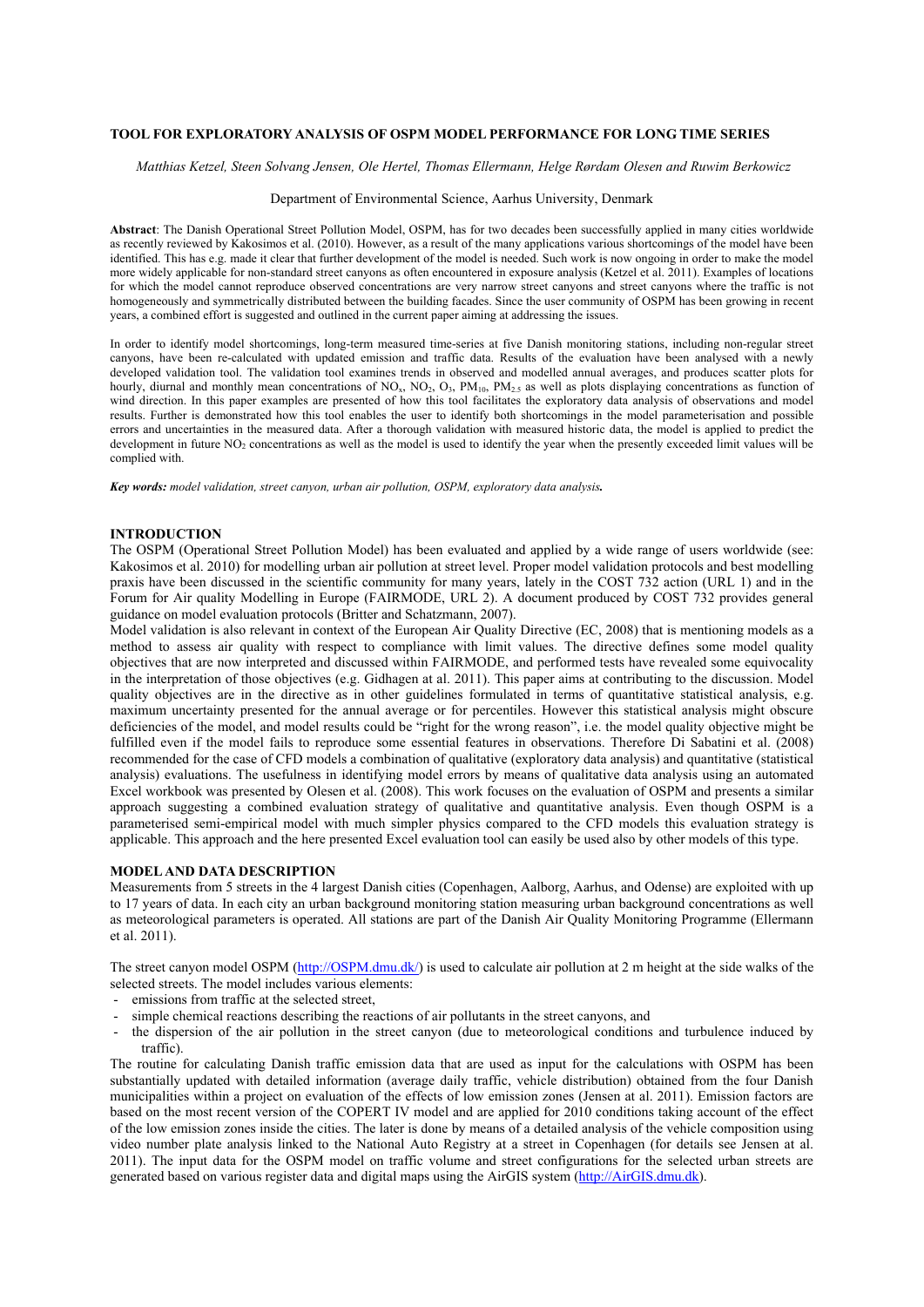# **TOOL FOR EXPLORATORY ANALYSIS OF OSPM MODEL PERFORMANCE FOR LONG TIME SERIES**

 *Matthias Ketzel, Steen Solvang Jensen, Ole Hertel, Thomas Ellermann, Helge Rørdam Olesen and Ruwim Berkowicz* 

# Department of Environmental Science, Aarhus University, Denmark

**Abstract**: The Danish Operational Street Pollution Model, OSPM, has for two decades been successfully applied in many cities worldwide as recently reviewed by Kakosimos et al. (2010). However, as a result of the many applications various shortcomings of the model have been identified. This has e.g. made it clear that further development of the model is needed. Such work is now ongoing in order to make the model more widely applicable for non-standard street canyons as often encountered in exposure analysis (Ketzel et al. 2011). Examples of locations for which the model cannot reproduce observed concentrations are very narrow street canyons and street canyons where the traffic is not homogeneously and symmetrically distributed between the building facades. Since the user community of OSPM has been growing in recent years, a combined effort is suggested and outlined in the current paper aiming at addressing the issues.

In order to identify model shortcomings, long-term measured time-series at five Danish monitoring stations, including non-regular street canyons, have been re-calculated with updated emission and traffic data. Results of the evaluation have been analysed with a newly developed validation tool. The validation tool examines trends in observed and modelled annual averages, and produces scatter plots for hourly, diurnal and monthly mean concentrations of NO<sub>x</sub>, NO<sub>2</sub>, O<sub>3</sub>, PM<sub>10</sub>, PM<sub>2.5</sub> as well as plots displaying concentrations as function of wind direction. In this paper examples are presented of how this tool facilitates the exploratory data analysis of observations and model results. Further is demonstrated how this tool enables the user to identify both shortcomings in the model parameterisation and possible errors and uncertainties in the measured data. After a thorough validation with measured historic data, the model is applied to predict the development in future NO<sub>2</sub> concentrations as well as the model is used to identify the year when the presently exceeded limit values will be complied with.

*Key words: model validation, street canyon, urban air pollution, OSPM, exploratory data analysis.* 

## **INTRODUCTION**

The OSPM (Operational Street Pollution Model) has been evaluated and applied by a wide range of users worldwide (see: Kakosimos et al. 2010) for modelling urban air pollution at street level. Proper model validation protocols and best modelling praxis have been discussed in the scientific community for many years, lately in the COST 732 action (URL 1) and in the Forum for Air quality Modelling in Europe (FAIRMODE, URL 2). A document produced by COST 732 provides general guidance on model evaluation protocols (Britter and Schatzmann, 2007).

Model validation is also relevant in context of the European Air Quality Directive (EC, 2008) that is mentioning models as a method to assess air quality with respect to compliance with limit values. The directive defines some model quality objectives that are now interpreted and discussed within FAIRMODE, and performed tests have revealed some equivocality in the interpretation of those objectives (e.g. Gidhagen at al. 2011). This paper aims at contributing to the discussion. Model quality objectives are in the directive as in other guidelines formulated in terms of quantitative statistical analysis, e.g. maximum uncertainty presented for the annual average or for percentiles. However this statistical analysis might obscure deficiencies of the model, and model results could be "right for the wrong reason", i.e. the model quality objective might be fulfilled even if the model fails to reproduce some essential features in observations. Therefore Di Sabatini et al. (2008) recommended for the case of CFD models a combination of qualitative (exploratory data analysis) and quantitative (statistical analysis) evaluations. The usefulness in identifying model errors by means of qualitative data analysis using an automated Excel workbook was presented by Olesen et al. (2008). This work focuses on the evaluation of OSPM and presents a similar approach suggesting a combined evaluation strategy of qualitative and quantitative analysis. Even though OSPM is a parameterised semi-empirical model with much simpler physics compared to the CFD models this evaluation strategy is applicable. This approach and the here presented Excel evaluation tool can easily be used also by other models of this type.

### **MODEL AND DATA DESCRIPTION**

Measurements from 5 streets in the 4 largest Danish cities (Copenhagen, Aalborg, Aarhus, and Odense) are exploited with up to 17 years of data. In each city an urban background monitoring station measuring urban background concentrations as well as meteorological parameters is operated. All stations are part of the Danish Air Quality Monitoring Programme (Ellermann et al. 2011).

The street canyon model OSPM ([http://OSPM.dmu.dk/\)](http://ospm.dmu.dk/) is used to calculate air pollution at 2 m height at the side walks of the selected streets. The model includes various elements:

- emissions from traffic at the selected street,
- simple chemical reactions describing the reactions of air pollutants in the street canyons, and
- the dispersion of the air pollution in the street canyon (due to meteorological conditions and turbulence induced by traffic).

The routine for calculating Danish traffic emission data that are used as input for the calculations with OSPM has been substantially updated with detailed information (average daily traffic, vehicle distribution) obtained from the four Danish municipalities within a project on evaluation of the effects of low emission zones (Jensen at al. 2011). Emission factors are based on the most recent version of the COPERT IV model and are applied for 2010 conditions taking account of the effect of the low emission zones inside the cities. The later is done by means of a detailed analysis of the vehicle composition using video number plate analysis linked to the National Auto Registry at a street in Copenhagen (for details see Jensen at al. 2011). The input data for the OSPM model on traffic volume and street configurations for the selected urban streets are generated based on various register data and digital maps using the AirGIS system [\(http://AirGIS.dmu.dk\)](http://airgis.dmu.dk/).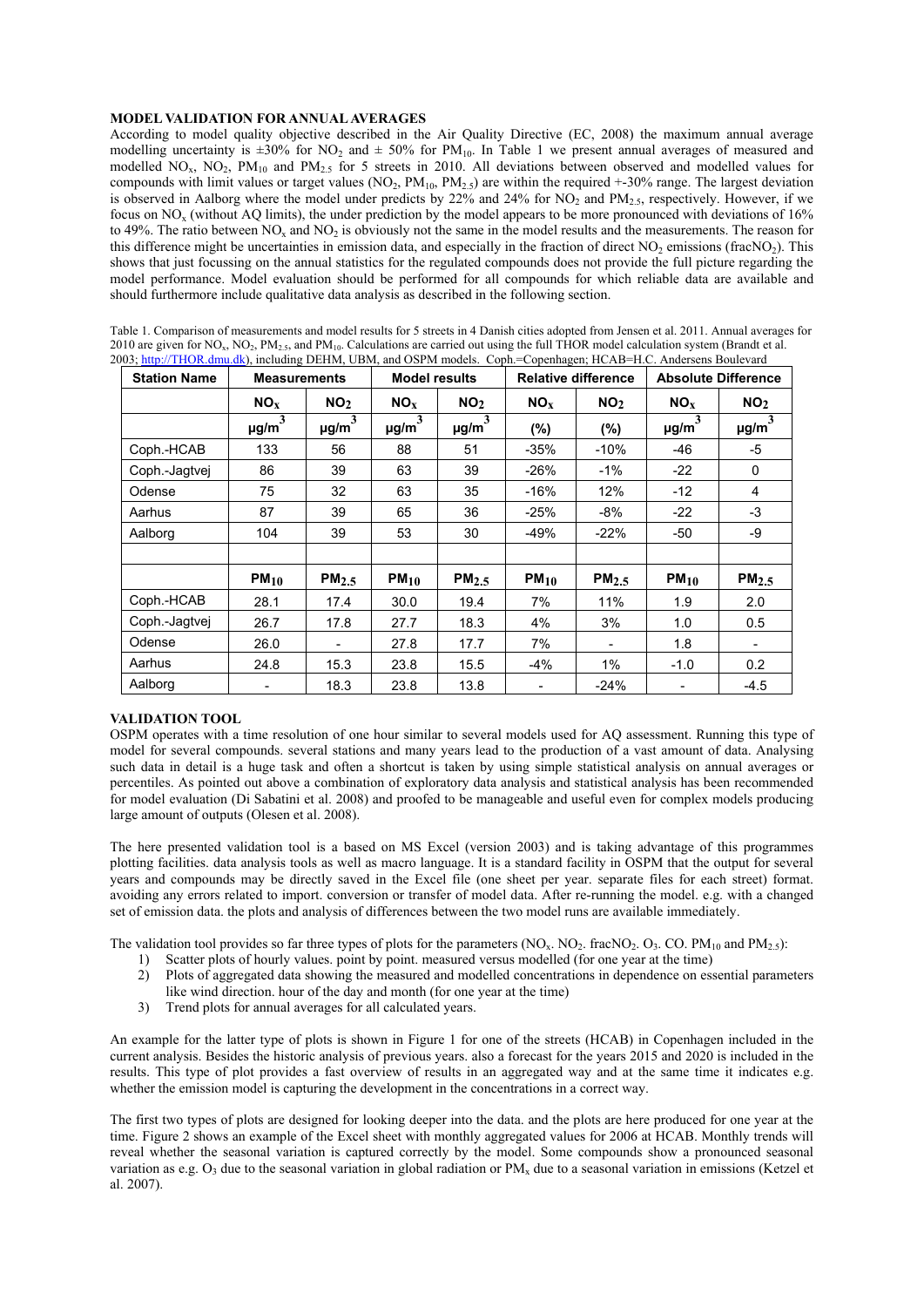# **MODEL VALIDATION FOR ANNUAL AVERAGES**

According to model quality objective described in the Air Quality Directive (EC, 2008) the maximum annual average modelling uncertainty is  $\pm 30\%$  for NO<sub>2</sub> and  $\pm 50\%$  for PM<sub>10</sub>. In Table 1 we present annual averages of measured and modelled NO<sub>x</sub>, NO<sub>2</sub>, PM<sub>10</sub> and PM<sub>2.5</sub> for 5 streets in 2010. All deviations between observed and modelled values for compounds with limit values or target values ( $NO<sub>2</sub>$ ,  $PM<sub>10</sub>$ ,  $PM<sub>25</sub>$ ) are within the required +-30% range. The largest deviation is observed in Aalborg where the model under predicts by  $22\%$  and  $24\%$  for NO<sub>2</sub> and PM<sub>2.5</sub>, respectively. However, if we focus on NOx (without AQ limits), the under prediction by the model appears to be more pronounced with deviations of 16% to 49%. The ratio between  $NO<sub>x</sub>$  and  $NO<sub>2</sub>$  is obviously not the same in the model results and the measurements. The reason for this difference might be uncertainties in emission data, and especially in the fraction of direct  $NO<sub>2</sub>$  emissions (frac $NO<sub>2</sub>$ ). This shows that just focussing on the annual statistics for the regulated compounds does not provide the full picture regarding the model performance. Model evaluation should be performed for all compounds for which reliable data are available and should furthermore include qualitative data analysis as described in the following section.

| Table 1. Comparison of measurements and model results for 5 streets in 4 Danish cities adopted from Jensen et al. 2011. Annual averages for                                               |
|-------------------------------------------------------------------------------------------------------------------------------------------------------------------------------------------|
| 2010 are given for NO <sub>x</sub> , NO <sub>2</sub> , PM <sub>25</sub> , and PM <sub>10</sub> . Calculations are carried out using the full THOR model calculation system (Brandt et al. |
| 2003; http://THOR.dmu.dk), including DEHM, UBM, and OSPM models. Coph.=Copenhagen; HCAB=H.C. Andersens Boulevard                                                                          |

| <b>Station Name</b> | <b>Measurements</b>    |                   | <b>Model results</b> |                        | <b>Relative difference</b> |                   | <b>Absolute Difference</b> |                   |
|---------------------|------------------------|-------------------|----------------------|------------------------|----------------------------|-------------------|----------------------------|-------------------|
|                     | NO <sub>x</sub>        | NO <sub>2</sub>   | $NO_{Y}$             | NO <sub>2</sub>        | NO <sub>x</sub>            | NO <sub>2</sub>   | $NO_{Y}$                   | NO <sub>2</sub>   |
|                     | $\mu$ g/m <sup>3</sup> | $\mu$ g/m $^3$    | $\mu$ g/m $^3$       | $\mu$ g/m <sup>3</sup> | (%)                        | (%)               | $\mu$ g/m <sup>3</sup>     | $\mu$ g/m $^3$    |
| Coph.-HCAB          | 133                    | 56                | 88                   | 51                     | $-35%$                     | $-10%$            | -46                        | -5                |
| Coph.-Jagtvej       | 86                     | 39                | 63                   | 39                     | $-26%$                     | $-1\%$            | $-22$                      | 0                 |
| Odense              | 75                     | 32                | 63                   | 35                     | $-16%$                     | 12%               | $-12$                      | 4                 |
| Aarhus              | 87                     | 39                | 65                   | 36                     | $-25%$                     | $-8%$             | $-22$                      | $-3$              |
| Aalborg             | 104                    | 39                | 53                   | 30                     | $-49%$                     | $-22%$            | -50                        | -9                |
|                     |                        |                   |                      |                        |                            |                   |                            |                   |
|                     | $PM_{10}$              | PM <sub>2.5</sub> | $PM_{10}$            | PM <sub>2.5</sub>      | $PM_{10}$                  | PM <sub>2.5</sub> | $PM_{10}$                  | PM <sub>2.5</sub> |
| Coph.-HCAB          | 28.1                   | 17.4              | 30.0                 | 19.4                   | 7%                         | 11%               | 1.9                        | 2.0               |
| Coph.-Jagtvei       | 26.7                   | 17.8              | 27.7                 | 18.3                   | 4%                         | 3%                | 1.0                        | 0.5               |
| Odense              | 26.0                   | $\blacksquare$    | 27.8                 | 17.7                   | 7%                         |                   | 1.8                        |                   |
| Aarhus              | 24.8                   | 15.3              | 23.8                 | 15.5                   | -4%                        | 1%                | $-1.0$                     | 0.2               |
| Aalborg             |                        | 18.3              | 23.8                 | 13.8                   |                            | $-24%$            |                            | $-4.5$            |

# **VALIDATION TOOL**

OSPM operates with a time resolution of one hour similar to several models used for AQ assessment. Running this type of model for several compounds. several stations and many years lead to the production of a vast amount of data. Analysing such data in detail is a huge task and often a shortcut is taken by using simple statistical analysis on annual averages or percentiles. As pointed out above a combination of exploratory data analysis and statistical analysis has been recommended for model evaluation (Di Sabatini et al. 2008) and proofed to be manageable and useful even for complex models producing large amount of outputs (Olesen et al. 2008).

The here presented validation tool is a based on MS Excel (version 2003) and is taking advantage of this programmes plotting facilities. data analysis tools as well as macro language. It is a standard facility in OSPM that the output for several years and compounds may be directly saved in the Excel file (one sheet per year. separate files for each street) format. avoiding any errors related to import. conversion or transfer of model data. After re-running the model. e.g. with a changed set of emission data. the plots and analysis of differences between the two model runs are available immediately.

The validation tool provides so far three types of plots for the parameters  $(NO<sub>x</sub>, NO<sub>2</sub>, fracNO<sub>2</sub>, O<sub>3</sub>, CO, PM<sub>10</sub>$  and  $PM<sub>2.5</sub>)$ :<br>1) Scatter plots of hourly values point by point measured versus modelled (for o

- 1) Scatter plots of hourly values. point by point. measured versus modelled (for one year at the time)
- 2) Plots of aggregated data showing the measured and modelled concentrations in dependence on essential parameters like wind direction. hour of the day and month (for one year at the time)
- 3) Trend plots for annual averages for all calculated years.

An example for the latter type of plots is shown in Figure 1 for one of the streets (HCAB) in Copenhagen included in the current analysis. Besides the historic analysis of previous years. also a forecast for the years 2015 and 2020 is included in the results. This type of plot provides a fast overview of results in an aggregated way and at the same time it indicates e.g. whether the emission model is capturing the development in the concentrations in a correct way.

The first two types of plots are designed for looking deeper into the data. and the plots are here produced for one year at the time. Figure 2 shows an example of the Excel sheet with monthly aggregated values for 2006 at HCAB. Monthly trends will reveal whether the seasonal variation is captured correctly by the model. Some compounds show a pronounced seasonal variation as e.g.  $O_3$  due to the seasonal variation in global radiation or PM<sub>x</sub> due to a seasonal variation in emissions (Ketzel et al. 2007).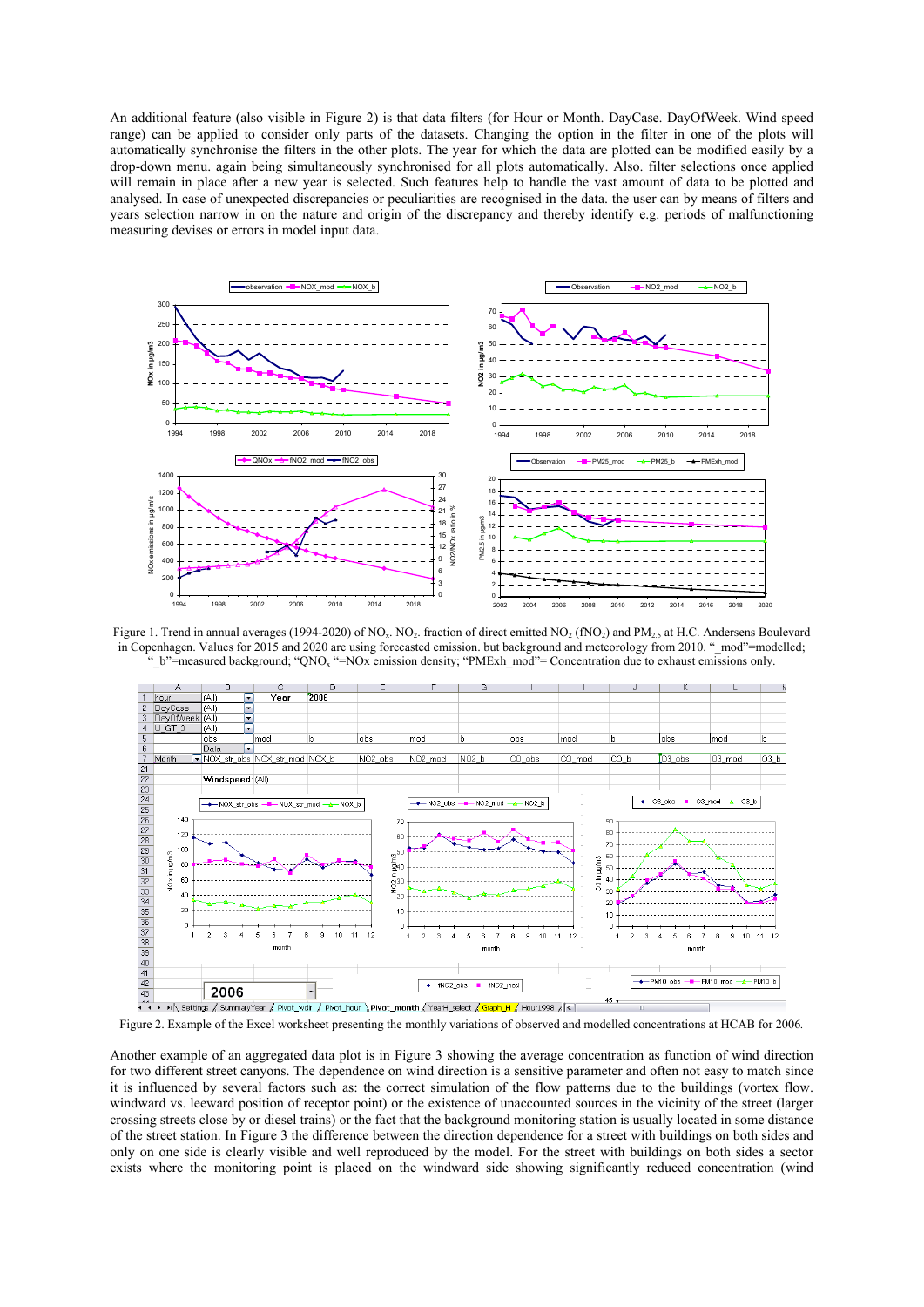An additional feature (also visible in Figure 2) is that data filters (for Hour or Month. DayCase. DayOfWeek. Wind speed range) can be applied to consider only parts of the datasets. Changing the option in the filter in one of the plots will automatically synchronise the filters in the other plots. The year for which the data are plotted can be modified easily by a drop-down menu. again being simultaneously synchronised for all plots automatically. Also. filter selections once applied will remain in place after a new year is selected. Such features help to handle the vast amount of data to be plotted and analysed. In case of unexpected discrepancies or peculiarities are recognised in the data. the user can by means of filters and years selection narrow in on the nature and origin of the discrepancy and thereby identify e.g. periods of malfunctioning measuring devises or errors in model input data.



Figure 1. Trend in annual averages (1994-2020) of NO<sub>x</sub>. NO<sub>2</sub>, fraction of direct emitted NO<sub>2</sub> (fNO<sub>2</sub>) and PM<sub>2.5</sub> at H.C. Andersens Boulevard in Copenhagen. Values for 2015 and 2020 are using forecasted emission. but background and meteorology from 2010. "\_mod"=modelled; "\_b"=measured background; "QNO<sub>x</sub> "=NOx emission density; "PMExh\_mod"= Concentration due to exhaust emissions only.



Figure 2. Example of the Excel worksheet presenting the monthly variations of observed and modelled concentrations at HCAB for 2006*.* 

Another example of an aggregated data plot is in Figure 3 showing the average concentration as function of wind direction for two different street canyons. The dependence on wind direction is a sensitive parameter and often not easy to match since it is influenced by several factors such as: the correct simulation of the flow patterns due to the buildings (vortex flow. windward vs. leeward position of receptor point) or the existence of unaccounted sources in the vicinity of the street (larger crossing streets close by or diesel trains) or the fact that the background monitoring station is usually located in some distance of the street station. In Figure 3 the difference between the direction dependence for a street with buildings on both sides and only on one side is clearly visible and well reproduced by the model. For the street with buildings on both sides a sector exists where the monitoring point is placed on the windward side showing significantly reduced concentration (wind